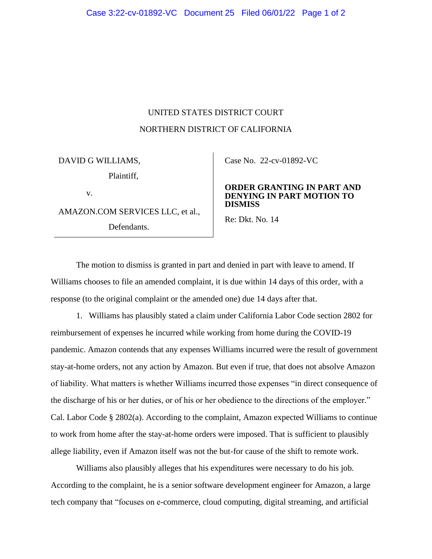## UNITED STATES DISTRICT COURT NORTHERN DISTRICT OF CALIFORNIA

DAVID G WILLIAMS, Plaintiff, v.

AMAZON.COM SERVICES LLC, et al.,

Defendants.

Case No. [22-cv-01892-VC](https://cand-ecf.sso.dcn/cgi-bin/DktRpt.pl?393553) 

## **ORDER GRANTING IN PART AND DENYING IN PART MOTION TO DISMISS**

Re: Dkt. No. 14

The motion to dismiss is granted in part and denied in part with leave to amend. If Williams chooses to file an amended complaint, it is due within 14 days of this order, with a response (to the original complaint or the amended one) due 14 days after that.

1. Williams has plausibly stated a claim under California Labor Code section 2802 for reimbursement of expenses he incurred while working from home during the COVID-19 pandemic. Amazon contends that any expenses Williams incurred were the result of government stay-at-home orders, not any action by Amazon. But even if true, that does not absolve Amazon of liability. What matters is whether Williams incurred those expenses "in direct consequence of the discharge of his or her duties, or of his or her obedience to the directions of the employer." Cal. Labor Code § 2802(a). According to the complaint, Amazon expected Williams to continue to work from home after the stay-at-home orders were imposed. That is sufficient to plausibly allege liability, even if Amazon itself was not the but-for cause of the shift to remote work.

Williams also plausibly alleges that his expenditures were necessary to do his job. According to the complaint, he is a senior software development engineer for Amazon, a large tech company that "focuses on e-commerce, cloud computing, digital streaming, and artificial